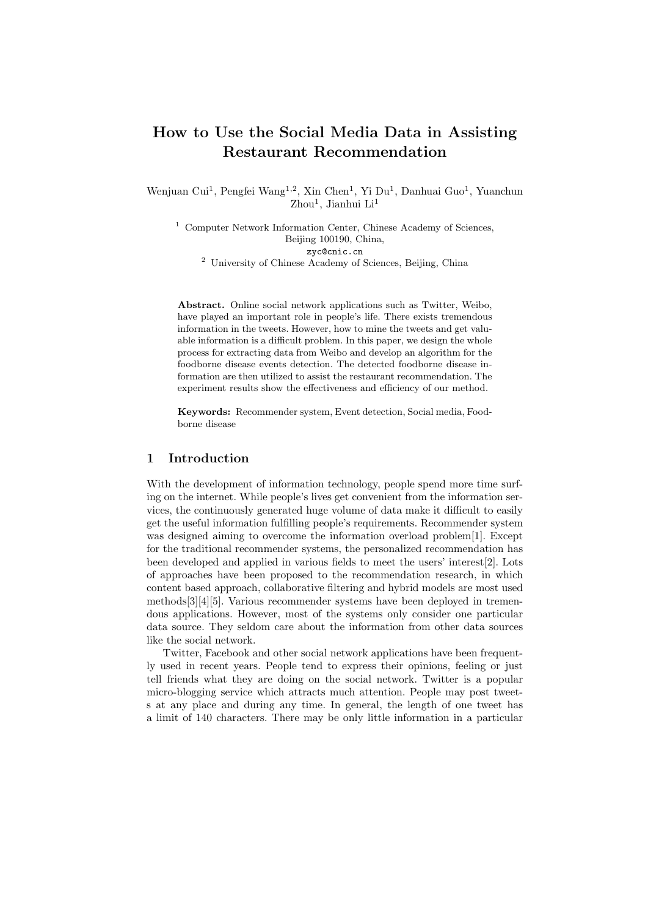# **How to Use the Social Media Data in Assisting Restaurant Recommendation**

Wenjuan Cui<sup>1</sup>, Pengfei Wang<sup>1,2</sup>, Xin Chen<sup>1</sup>, Yi Du<sup>1</sup>, Danhuai Guo<sup>1</sup>, Yuanchun  $\rm Zhou^{1},$  Jianhui  $\rm Li^{1}$ 

 $^{\rm 1}$  Computer Network Information Center, Chinese Academy of Sciences, Beijing 100190, China, zyc@cnic.cn

<sup>2</sup> University of Chinese Academy of Sciences, Beijing, China

**Abstract.** Online social network applications such as Twitter, Weibo, have played an important role in people's life. There exists tremendous information in the tweets. However, how to mine the tweets and get valuable information is a difficult problem. In this paper, we design the whole process for extracting data from Weibo and develop an algorithm for the foodborne disease events detection. The detected foodborne disease information are then utilized to assist the restaurant recommendation. The experiment results show the effectiveness and efficiency of our method.

**Keywords:** Recommender system, Event detection, Social media, Foodborne disease

# **1 Introduction**

With the development of information technology, people spend more time surfing on the internet. While people's lives get convenient from the information services, the continuously generated huge volume of data make it difficult to easily get the useful information fulfilling people's requirements. Recommender system was designed aiming to overcome the information overload problem[1]. Except for the traditional recommender systems, the personalized recommendation has been developed and applied in various fields to meet the users' interest[2]. Lots of approaches have been proposed to the recommendation research, in which content based approach, collaborative filtering and hybrid models are most used methods[3][4][5]. Various recommender systems have been deployed in tremendous applications. However, most of the systems only consider one particular data source. They seldom care about the information from other data sources like the social network.

Twitter, Facebook and other social network applications have been frequently used in recent years. People tend to express their opinions, feeling or just tell friends what they are doing on the social network. Twitter is a popular micro-blogging service which attracts much attention. People may post tweets at any place and during any time. In general, the length of one tweet has a limit of 140 characters. There may be only little information in a particular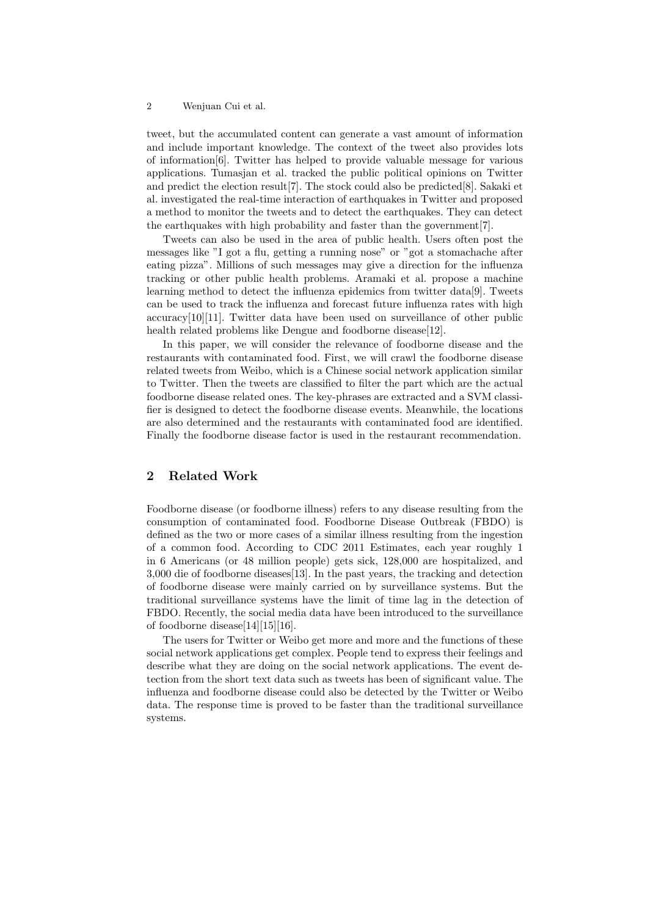#### 2 Wenjuan Cui et al.

tweet, but the accumulated content can generate a vast amount of information and include important knowledge. The context of the tweet also provides lots of information[6]. Twitter has helped to provide valuable message for various applications. Tumasjan et al. tracked the public political opinions on Twitter and predict the election result[7]. The stock could also be predicted[8]. Sakaki et al. investigated the real-time interaction of earthquakes in Twitter and proposed a method to monitor the tweets and to detect the earthquakes. They can detect the earthquakes with high probability and faster than the government[7].

Tweets can also be used in the area of public health. Users often post the messages like "I got a flu, getting a running nose" or "got a stomachache after eating pizza". Millions of such messages may give a direction for the influenza tracking or other public health problems. Aramaki et al. propose a machine learning method to detect the influenza epidemics from twitter data[9]. Tweets can be used to track the influenza and forecast future influenza rates with high accuracy[10][11]. Twitter data have been used on surveillance of other public health related problems like Dengue and foodborne disease[12].

In this paper, we will consider the relevance of foodborne disease and the restaurants with contaminated food. First, we will crawl the foodborne disease related tweets from Weibo, which is a Chinese social network application similar to Twitter. Then the tweets are classified to filter the part which are the actual foodborne disease related ones. The key-phrases are extracted and a SVM classifier is designed to detect the foodborne disease events. Meanwhile, the locations are also determined and the restaurants with contaminated food are identified. Finally the foodborne disease factor is used in the restaurant recommendation.

# **2 Related Work**

Foodborne disease (or foodborne illness) refers to any disease resulting from the consumption of contaminated food. Foodborne Disease Outbreak (FBDO) is defined as the two or more cases of a similar illness resulting from the ingestion of a common food. According to CDC 2011 Estimates, each year roughly 1 in 6 Americans (or 48 million people) gets sick, 128,000 are hospitalized, and 3,000 die of foodborne diseases[13]. In the past years, the tracking and detection of foodborne disease were mainly carried on by surveillance systems. But the traditional surveillance systems have the limit of time lag in the detection of FBDO. Recently, the social media data have been introduced to the surveillance of foodborne disease[14][15][16].

The users for Twitter or Weibo get more and more and the functions of these social network applications get complex. People tend to express their feelings and describe what they are doing on the social network applications. The event detection from the short text data such as tweets has been of significant value. The influenza and foodborne disease could also be detected by the Twitter or Weibo data. The response time is proved to be faster than the traditional surveillance systems.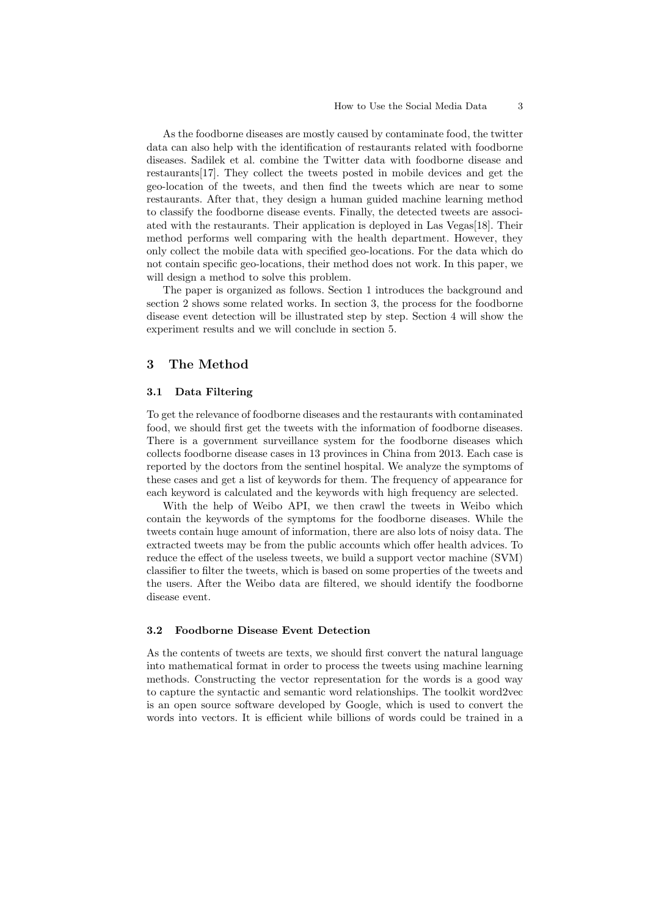As the foodborne diseases are mostly caused by contaminate food, the twitter data can also help with the identification of restaurants related with foodborne diseases. Sadilek et al. combine the Twitter data with foodborne disease and restaurants[17]. They collect the tweets posted in mobile devices and get the geo-location of the tweets, and then find the tweets which are near to some restaurants. After that, they design a human guided machine learning method to classify the foodborne disease events. Finally, the detected tweets are associated with the restaurants. Their application is deployed in Las Vegas[18]. Their method performs well comparing with the health department. However, they only collect the mobile data with specified geo-locations. For the data which do not contain specific geo-locations, their method does not work. In this paper, we will design a method to solve this problem.

The paper is organized as follows. Section 1 introduces the background and section 2 shows some related works. In section 3, the process for the foodborne disease event detection will be illustrated step by step. Section 4 will show the experiment results and we will conclude in section 5.

## **3 The Method**

#### **3.1 Data Filtering**

To get the relevance of foodborne diseases and the restaurants with contaminated food, we should first get the tweets with the information of foodborne diseases. There is a government surveillance system for the foodborne diseases which collects foodborne disease cases in 13 provinces in China from 2013. Each case is reported by the doctors from the sentinel hospital. We analyze the symptoms of these cases and get a list of keywords for them. The frequency of appearance for each keyword is calculated and the keywords with high frequency are selected.

With the help of Weibo API, we then crawl the tweets in Weibo which contain the keywords of the symptoms for the foodborne diseases. While the tweets contain huge amount of information, there are also lots of noisy data. The extracted tweets may be from the public accounts which offer health advices. To reduce the effect of the useless tweets, we build a support vector machine (SVM) classifier to filter the tweets, which is based on some properties of the tweets and the users. After the Weibo data are filtered, we should identify the foodborne disease event.

#### **3.2 Foodborne Disease Event Detection**

As the contents of tweets are texts, we should first convert the natural language into mathematical format in order to process the tweets using machine learning methods. Constructing the vector representation for the words is a good way to capture the syntactic and semantic word relationships. The toolkit word2vec is an open source software developed by Google, which is used to convert the words into vectors. It is efficient while billions of words could be trained in a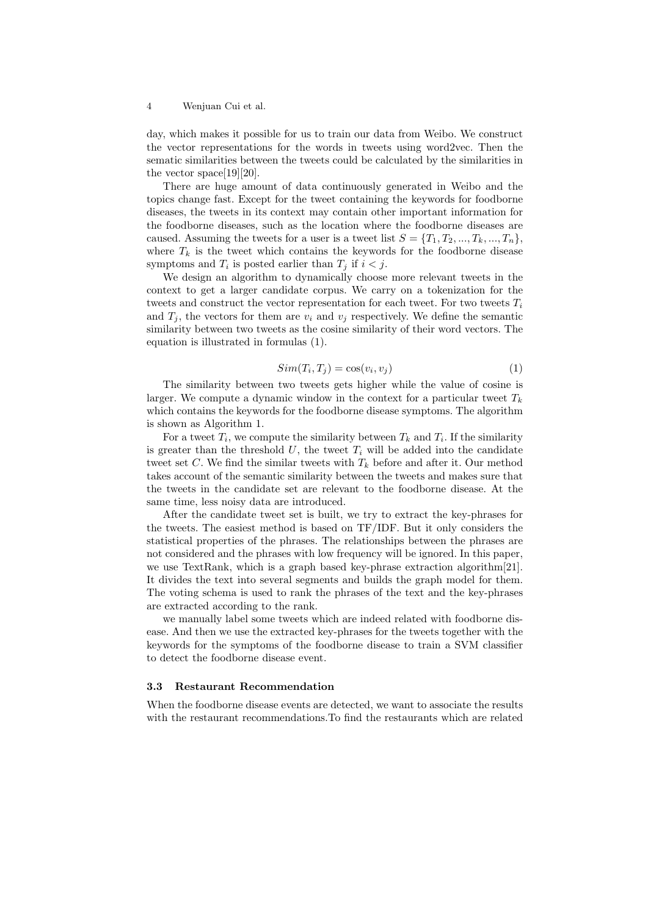#### 4 Wenjuan Cui et al.

day, which makes it possible for us to train our data from Weibo. We construct the vector representations for the words in tweets using word2vec. Then the sematic similarities between the tweets could be calculated by the similarities in the vector space[19][20].

There are huge amount of data continuously generated in Weibo and the topics change fast. Except for the tweet containing the keywords for foodborne diseases, the tweets in its context may contain other important information for the foodborne diseases, such as the location where the foodborne diseases are caused. Assuming the tweets for a user is a tweet list  $S = \{T_1, T_2, ..., T_k, ..., T_n\}$ , where  $T_k$  is the tweet which contains the keywords for the foodborne disease symptoms and  $T_i$  is posted earlier than  $T_j$  if  $i < j$ .

We design an algorithm to dynamically choose more relevant tweets in the context to get a larger candidate corpus. We carry on a tokenization for the tweets and construct the vector representation for each tweet. For two tweets *T<sup>i</sup>* and  $T_i$ , the vectors for them are  $v_i$  and  $v_j$  respectively. We define the semantic similarity between two tweets as the cosine similarity of their word vectors. The equation is illustrated in formulas (1).

$$
Sim(T_i, T_j) = \cos(v_i, v_j)
$$
\n<sup>(1)</sup>

The similarity between two tweets gets higher while the value of cosine is larger. We compute a dynamic window in the context for a particular tweet  $T_k$ which contains the keywords for the foodborne disease symptoms. The algorithm is shown as Algorithm 1.

For a tweet  $T_i$ , we compute the similarity between  $T_k$  and  $T_i$ . If the similarity is greater than the threshold  $U$ , the tweet  $T_i$  will be added into the candidate tweet set *C*. We find the similar tweets with  $T_k$  before and after it. Our method takes account of the semantic similarity between the tweets and makes sure that the tweets in the candidate set are relevant to the foodborne disease. At the same time, less noisy data are introduced.

After the candidate tweet set is built, we try to extract the key-phrases for the tweets. The easiest method is based on TF/IDF. But it only considers the statistical properties of the phrases. The relationships between the phrases are not considered and the phrases with low frequency will be ignored. In this paper, we use TextRank, which is a graph based key-phrase extraction algorithm[21]. It divides the text into several segments and builds the graph model for them. The voting schema is used to rank the phrases of the text and the key-phrases are extracted according to the rank.

we manually label some tweets which are indeed related with foodborne disease. And then we use the extracted key-phrases for the tweets together with the keywords for the symptoms of the foodborne disease to train a SVM classifier to detect the foodborne disease event.

#### **3.3 Restaurant Recommendation**

When the foodborne disease events are detected, we want to associate the results with the restaurant recommendations.To find the restaurants which are related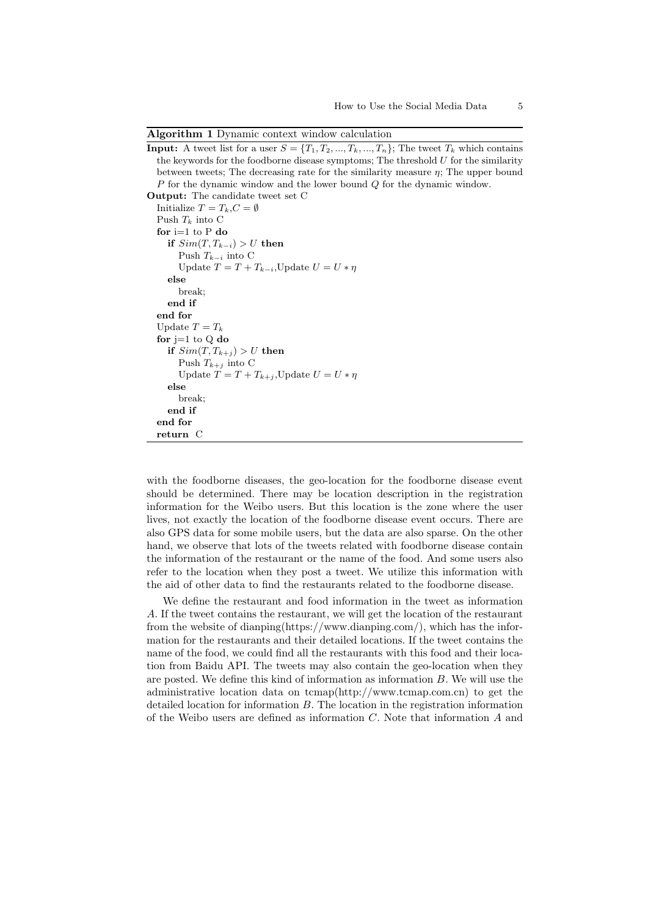**Algorithm 1** Dynamic context window calculation

| <b>Input:</b> A tweet list for a user $S = \{T_1, T_2, , T_k, , T_n\}$ ; The tweet $T_k$ which contains |
|---------------------------------------------------------------------------------------------------------|
| the keywords for the foodborne disease symptoms; The threshold $U$ for the similarity                   |
| between tweets; The decreasing rate for the similarity measure $\eta$ ; The upper bound                 |
| P for the dynamic window and the lower bound $Q$ for the dynamic window.                                |
| <b>Output:</b> The candidate tweet set C                                                                |
| Initialize $T = T_k, C = \emptyset$                                                                     |
| Push $T_k$ into C                                                                                       |
| for $i=1$ to P do                                                                                       |
| if $Sim(T, T_{k-i}) > U$ then                                                                           |
| Push $T_{k-i}$ into C                                                                                   |
| Update $T = T + T_{k-i}$ , Update $U = U * \eta$                                                        |
| else                                                                                                    |
| break;                                                                                                  |
| end if                                                                                                  |
| end for                                                                                                 |
| Update $T = T_k$                                                                                        |
| for j=1 to Q do                                                                                         |
| if $Sim(T, T_{k+j}) > U$ then                                                                           |
| Push $T_{k+j}$ into C                                                                                   |
| Update $T = T + T_{k+i}$ , Update $U = U * \eta$                                                        |
| else                                                                                                    |
| break:                                                                                                  |
| end if                                                                                                  |
| end for                                                                                                 |
| return C                                                                                                |

with the foodborne diseases, the geo-location for the foodborne disease event should be determined. There may be location description in the registration information for the Weibo users. But this location is the zone where the user lives, not exactly the location of the foodborne disease event occurs. There are also GPS data for some mobile users, but the data are also sparse. On the other hand, we observe that lots of the tweets related with foodborne disease contain the information of the restaurant or the name of the food. And some users also refer to the location when they post a tweet. We utilize this information with the aid of other data to find the restaurants related to the foodborne disease.

We define the restaurant and food information in the tweet as information *A*. If the tweet contains the restaurant, we will get the location of the restaurant from the website of dianping(https://www.dianping.com/), which has the information for the restaurants and their detailed locations. If the tweet contains the name of the food, we could find all the restaurants with this food and their location from Baidu API. The tweets may also contain the geo-location when they are posted. We define this kind of information as information *B*. We will use the administrative location data on tcmap(http://www.tcmap.com.cn) to get the detailed location for information *B*. The location in the registration information of the Weibo users are defined as information *C*. Note that information *A* and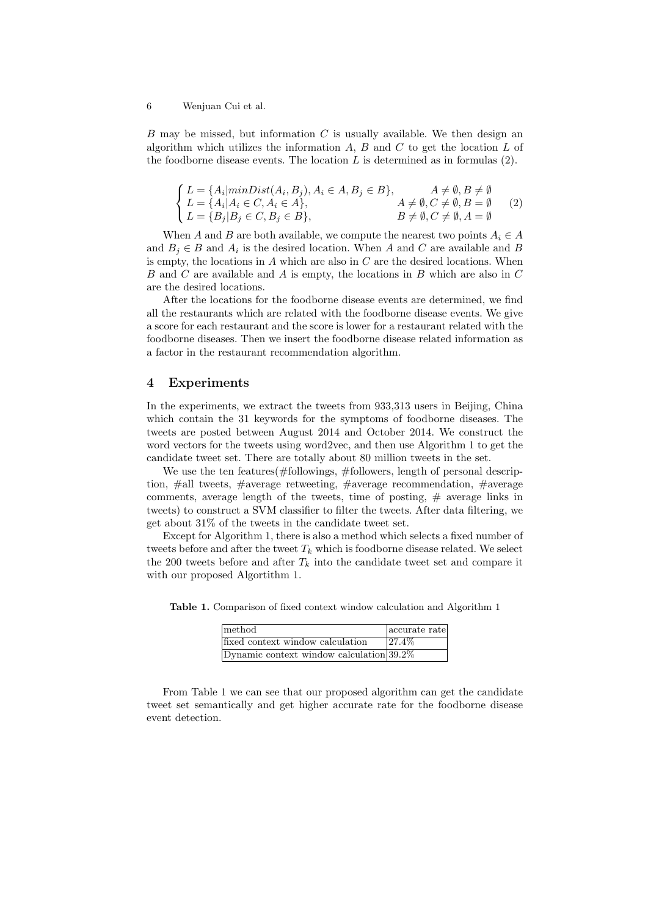#### 6 Wenjuan Cui et al.

*B* may be missed, but information *C* is usually available. We then design an algorithm which utilizes the information *A*, *B* and *C* to get the location *L* of the foodborne disease events. The location  $L$  is determined as in formulas  $(2)$ .

$$
\begin{cases}\nL = \{A_i | minDist(A_i, B_j), A_i \in A, B_j \in B\}, & A \neq \emptyset, B \neq \emptyset \\
L = \{A_i | A_i \in C, A_i \in A\}, & A \neq \emptyset, C \neq \emptyset, B = \emptyset \\
L = \{B_j | B_j \in C, B_j \in B\}, & B \neq \emptyset, C \neq \emptyset, A = \emptyset\n\end{cases}
$$
\n(2)

When *A* and *B* are both available, we compute the nearest two points  $A_i \in A$ and  $B_j \in B$  and  $A_i$  is the desired location. When  $A$  and  $C$  are available and  $B$ is empty, the locations in *A* which are also in *C* are the desired locations. When *B* and *C* are available and *A* is empty, the locations in *B* which are also in *C* are the desired locations.

After the locations for the foodborne disease events are determined, we find all the restaurants which are related with the foodborne disease events. We give a score for each restaurant and the score is lower for a restaurant related with the foodborne diseases. Then we insert the foodborne disease related information as a factor in the restaurant recommendation algorithm.

### **4 Experiments**

In the experiments, we extract the tweets from 933,313 users in Beijing, China which contain the 31 keywords for the symptoms of foodborne diseases. The tweets are posted between August 2014 and October 2014. We construct the word vectors for the tweets using word2vec, and then use Algorithm 1 to get the candidate tweet set. There are totally about 80 million tweets in the set.

We use the ten features  $(\text{\#followings}, \text{\#followers}, \text{length of personal description})$ tion, #all tweets, #average retweeting, #average recommendation, #average comments, average length of the tweets, time of posting,  $#$  average links in tweets) to construct a SVM classifier to filter the tweets. After data filtering, we get about 31% of the tweets in the candidate tweet set.

Except for Algorithm 1, there is also a method which selects a fixed number of tweets before and after the tweet  $T_k$  which is foodborne disease related. We select the 200 tweets before and after  $T_k$  into the candidate tweet set and compare it with our proposed Algortithm 1.

**Table 1.** Comparison of fixed context window calculation and Algorithm 1

| method                                      | accurate rate |
|---------------------------------------------|---------------|
| fixed context window calculation            | $ 27.4\%$     |
| Dynamic context window calculation $39.2\%$ |               |

From Table 1 we can see that our proposed algorithm can get the candidate tweet set semantically and get higher accurate rate for the foodborne disease event detection.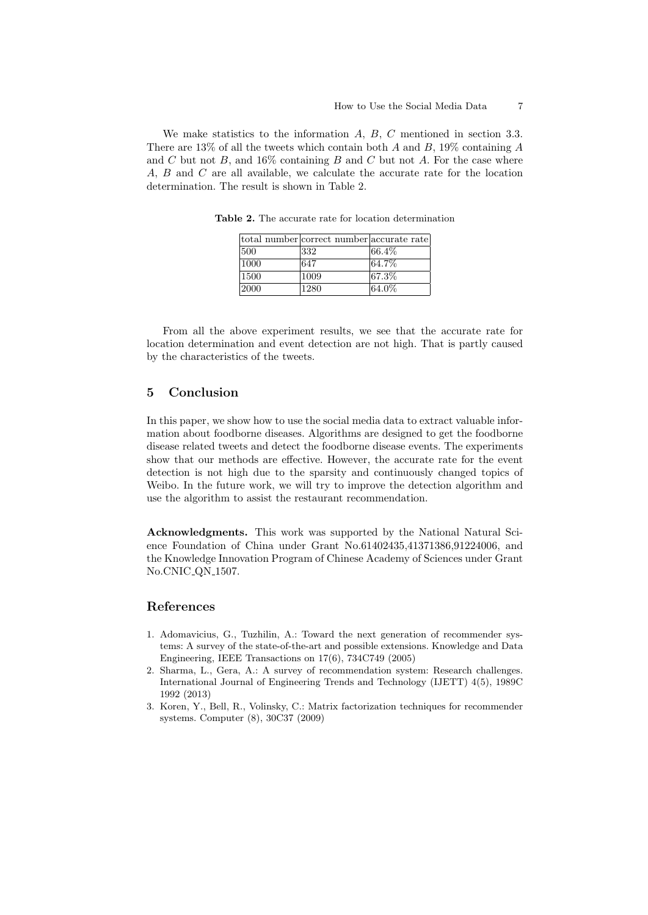We make statistics to the information *A*, *B*, *C* mentioned in section 3.3. There are 13% of all the tweets which contain both *A* and *B*, 19% containing *A* and *C* but not *B*, and 16% containing *B* and *C* but not *A*. For the case where *A*, *B* and *C* are all available, we calculate the accurate rate for the location determination. The result is shown in Table 2.

|      | total number correct number accurate rate |           |
|------|-------------------------------------------|-----------|
| 500  | 332                                       | $166.4\%$ |
| 1000 | 647                                       | $64.7\%$  |
| 1500 | 1009                                      | 67.3%     |
| 2000 | 1280                                      | $64.0\%$  |

**Table 2.** The accurate rate for location determination

From all the above experiment results, we see that the accurate rate for location determination and event detection are not high. That is partly caused by the characteristics of the tweets.

# **5 Conclusion**

In this paper, we show how to use the social media data to extract valuable information about foodborne diseases. Algorithms are designed to get the foodborne disease related tweets and detect the foodborne disease events. The experiments show that our methods are effective. However, the accurate rate for the event detection is not high due to the sparsity and continuously changed topics of Weibo. In the future work, we will try to improve the detection algorithm and use the algorithm to assist the restaurant recommendation.

**Acknowledgments.** This work was supported by the National Natural Science Foundation of China under Grant No.61402435,41371386,91224006, and the Knowledge Innovation Program of Chinese Academy of Sciences under Grant No.CNIC\_QN\_1507.

## **References**

- 1. Adomavicius, G., Tuzhilin, A.: Toward the next generation of recommender systems: A survey of the state-of-the-art and possible extensions. Knowledge and Data Engineering, IEEE Transactions on 17(6), 734C749 (2005)
- 2. Sharma, L., Gera, A.: A survey of recommendation system: Research challenges. International Journal of Engineering Trends and Technology (IJETT) 4(5), 1989C 1992 (2013)
- 3. Koren, Y., Bell, R., Volinsky, C.: Matrix factorization techniques for recommender systems. Computer (8), 30C37 (2009)